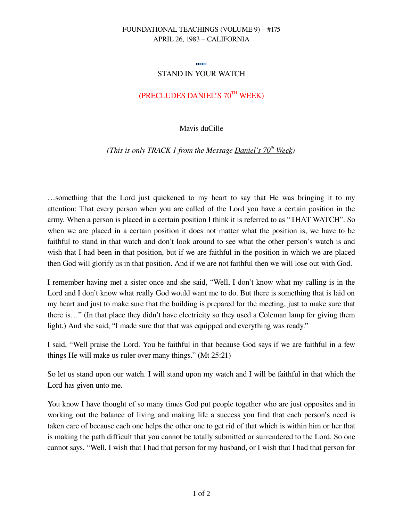### FOUNDATIONAL TEACHINGS (VOLUME 9) – #175 APRIL 26, 1983 – CALIFORNIA

#### **SHIP**

### STAND IN YOUR WATCH

# (PRECLUDES DANIEL'S 70TH WEEK)

### Mavis duCille

*(This is only TRACK 1 from the Message Daniel's 70th Week)*

…something that the Lord just quickened to my heart to say that He was bringing it to my attention: That every person when you are called of the Lord you have a certain position in the army. When a person is placed in a certain position I think it is referred to as "THAT WATCH". So when we are placed in a certain position it does not matter what the position is, we have to be faithful to stand in that watch and don't look around to see what the other person's watch is and wish that I had been in that position, but if we are faithful in the position in which we are placed then God will glorify us in that position. And if we are not faithful then we will lose out with God.

I remember having met a sister once and she said, "Well, I don't know what my calling is in the Lord and I don't know what really God would want me to do. But there is something that is laid on my heart and just to make sure that the building is prepared for the meeting, just to make sure that there is…" (In that place they didn't have electricity so they used a Coleman lamp for giving them light.) And she said, "I made sure that that was equipped and everything was ready."

I said, "Well praise the Lord. You be faithful in that because God says if we are faithful in a few things He will make us ruler over many things." (Mt 25:21)

So let us stand upon our watch. I will stand upon my watch and I will be faithful in that which the Lord has given unto me.

You know I have thought of so many times God put people together who are just opposites and in working out the balance of living and making life a success you find that each person's need is taken care of because each one helps the other one to get rid of that which is within him or her that is making the path difficult that you cannot be totally submitted or surrendered to the Lord. So one cannot says, "Well, I wish that I had that person for my husband, or I wish that I had that person for